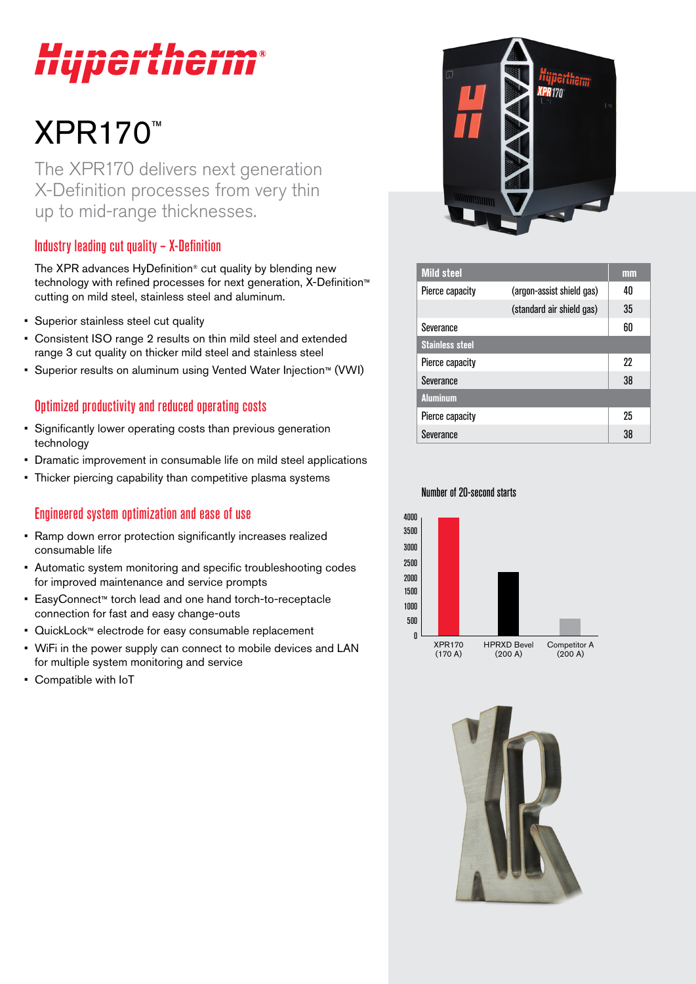# Hypertherm®

# XPR170™

The XPR170 delivers next generation X-Definition processes from very thin up to mid-range thicknesses.

# Industry leading cut quality – X-Definition

The XPR advances HyDefinition® cut quality by blending new technology with refined processes for next generation, X-Definition™ cutting on mild steel, stainless steel and aluminum.

- Superior stainless steel cut quality
- Consistent ISO range 2 results on thin mild steel and extended range 3 cut quality on thicker mild steel and stainless steel
- Superior results on aluminum using Vented Water Injection™ (VWI)

## Optimized productivity and reduced operating costs

- Significantly lower operating costs than previous generation technology
- Dramatic improvement in consumable life on mild steel applications
- Thicker piercing capability than competitive plasma systems

### Engineered system optimization and ease of use

- Ramp down error protection significantly increases realized consumable life
- Automatic system monitoring and specific troubleshooting codes for improved maintenance and service prompts
- EasyConnect™ torch lead and one hand torch-to-receptacle connection for fast and easy change-outs
- QuickLock™ electrode for easy consumable replacement
- WiFi in the power supply can connect to mobile devices and LAN for multiple system monitoring and service
- Compatible with IoT



| <b>Mild steel</b>      |                           | mm |
|------------------------|---------------------------|----|
| Pierce capacity        | (argon-assist shield gas) | 40 |
|                        | (standard air shield gas) | 35 |
| Severance              |                           | 60 |
| <b>Stainless steel</b> |                           |    |
| Pierce capacity        |                           | 22 |
| Severance              |                           | 38 |
| <b>Aluminum</b>        |                           |    |
| Pierce capacity        |                           | 25 |
| Severance              |                           | 38 |